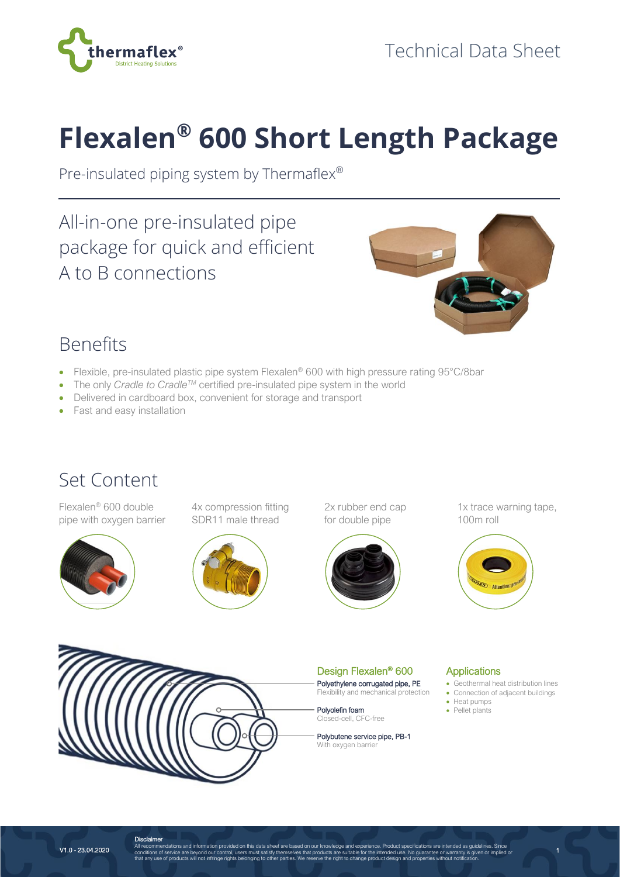

# **Flexalen® 600 Short Length Package**

Pre-insulated piping system by Thermaflex®

All-in-one pre-insulated pipe package for quick and efficient A to B connections



## Benefits

- Flexible, pre-insulated plastic pipe system Flexalen® 600 with high pressure rating 95°C/8bar
- The only *Cradle to Cradle<sup>TM</sup>* certified pre-insulated pipe system in the world
- Delivered in cardboard box, convenient for storage and transport
- Fast and easy installation

### Set Content

Flexalen® 600 double pipe with oxygen barrier



4x compression fitting SDR11 male thread



2x rubber end cap for double pipe



1x trace warning tape, 100m roll





Design Flexalen® 600

Polyethylene corrugated pipe, PE Flexibility and mechanical protection

Polyolefin foam Closed-cell, CFC-free

Polybutene service pipe, PB-1 With oxygen barrier

#### **Applications**

• Geothermal heat distribution lines • Connection of adjacent buildings

1

- Heat pumps
- Pellet plants